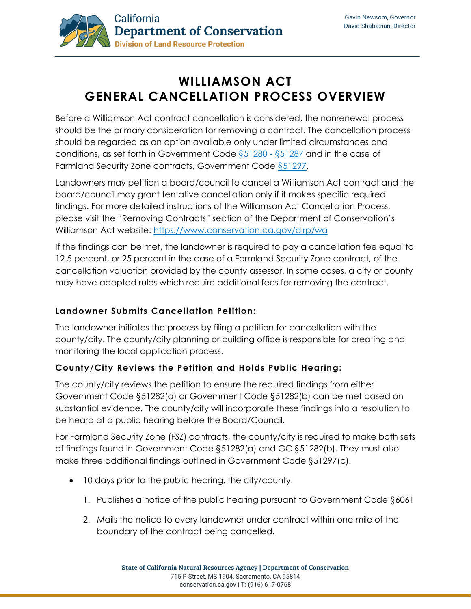

# **WILLIAMSON ACT GENERAL CANCELLATION PROCESS OVERVIEW**

Before a Williamson Act contract cancellation is considered, the nonrenewal process should be the primary consideration for removing a contract. The cancellation process should be regarded as an option available only under limited circumstances and conditions, as set forth in Government Code [§51280 -](https://leginfo.legislature.ca.gov/faces/codes_displayText.xhtml?lawCode=GOV&division=1.&title=5.&part=1.&chapter=7.&article=5.) §51287 and in the case of Farmland Security Zone contracts, Government Code [§51297.](https://leginfo.legislature.ca.gov/faces/codes_displaySection.xhtml?lawCode=GOV§ionNum=51297.)

Landowners may petition a board/council to cancel a Williamson Act contract and the board/council may grant tentative cancellation only if it makes specific required findings. For more detailed instructions of the Williamson Act Cancellation Process, please visit the "Removing Contracts" section of the Department of Conservation's Williamson Act website:<https://www.conservation.ca.gov/dlrp/wa>

If the findings can be met, the landowner is required to pay a cancellation fee equal to 12.5 percent, or 25 percent in the case of a Farmland Security Zone contract, of the cancellation valuation provided by the county assessor. In some cases, a city or county may have adopted rules which require additional fees for removing the contract.

## **Landowner Submits Cancellation Petition:**

The landowner initiates the process by filing a petition for cancellation with the county/city. The county/city planning or building office is responsible for creating and monitoring the local application process.

## **County/City Reviews the Petition and Holds Public Hearing:**

The county/city reviews the petition to ensure the required findings from either Government Code §51282(a) or Government Code §51282(b) can be met based on substantial evidence. The county/city will incorporate these findings into a resolution to be heard at a public hearing before the Board/Council.

For Farmland Security Zone (FSZ) contracts, the county/city is required to make both sets of findings found in Government Code §51282(a) and GC §51282(b). They must also make three additional findings outlined in Government Code §51297(c).

- 10 days prior to the public hearing, the city/county:
	- 1. Publishes a notice of the public hearing pursuant to Government Code §6061
	- 2. Mails the notice to every landowner under contract within one mile of the boundary of the contract being cancelled.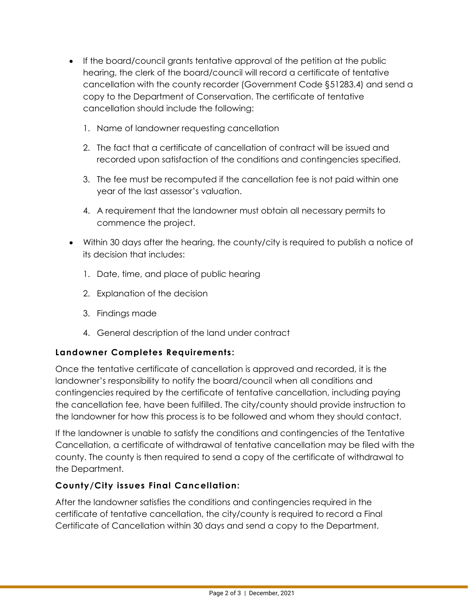- If the board/council grants tentative approval of the petition at the public hearing, the clerk of the board/council will record a certificate of tentative cancellation with the county recorder (Government Code §51283.4) and send a copy to the Department of Conservation. The certificate of tentative cancellation should include the following:
	- 1. Name of landowner requesting cancellation
	- 2. The fact that a certificate of cancellation of contract will be issued and recorded upon satisfaction of the conditions and contingencies specified.
	- 3. The fee must be recomputed if the cancellation fee is not paid within one year of the last assessor's valuation.
	- 4. A requirement that the landowner must obtain all necessary permits to commence the project.
- Within 30 days after the hearing, the county/city is required to publish a notice of its decision that includes:
	- 1. Date, time, and place of public hearing
	- 2. Explanation of the decision
	- 3. Findings made
	- 4. General description of the land under contract

#### **Landowner Completes Requirements:**

Once the tentative certificate of cancellation is approved and recorded, it is the landowner's responsibility to notify the board/council when all conditions and contingencies required by the certificate of tentative cancellation, including paying the cancellation fee, have been fulfilled. The city/county should provide instruction to the landowner for how this process is to be followed and whom they should contact.

If the landowner is unable to satisfy the conditions and contingencies of the Tentative Cancellation, a certificate of withdrawal of tentative cancellation may be filed with the county. The county is then required to send a copy of the certificate of withdrawal to the Department.

## **County/City issues Final Cancellation:**

After the landowner satisfies the conditions and contingencies required in the certificate of tentative cancellation, the city/county is required to record a Final Certificate of Cancellation within 30 days and send a copy to the Department.